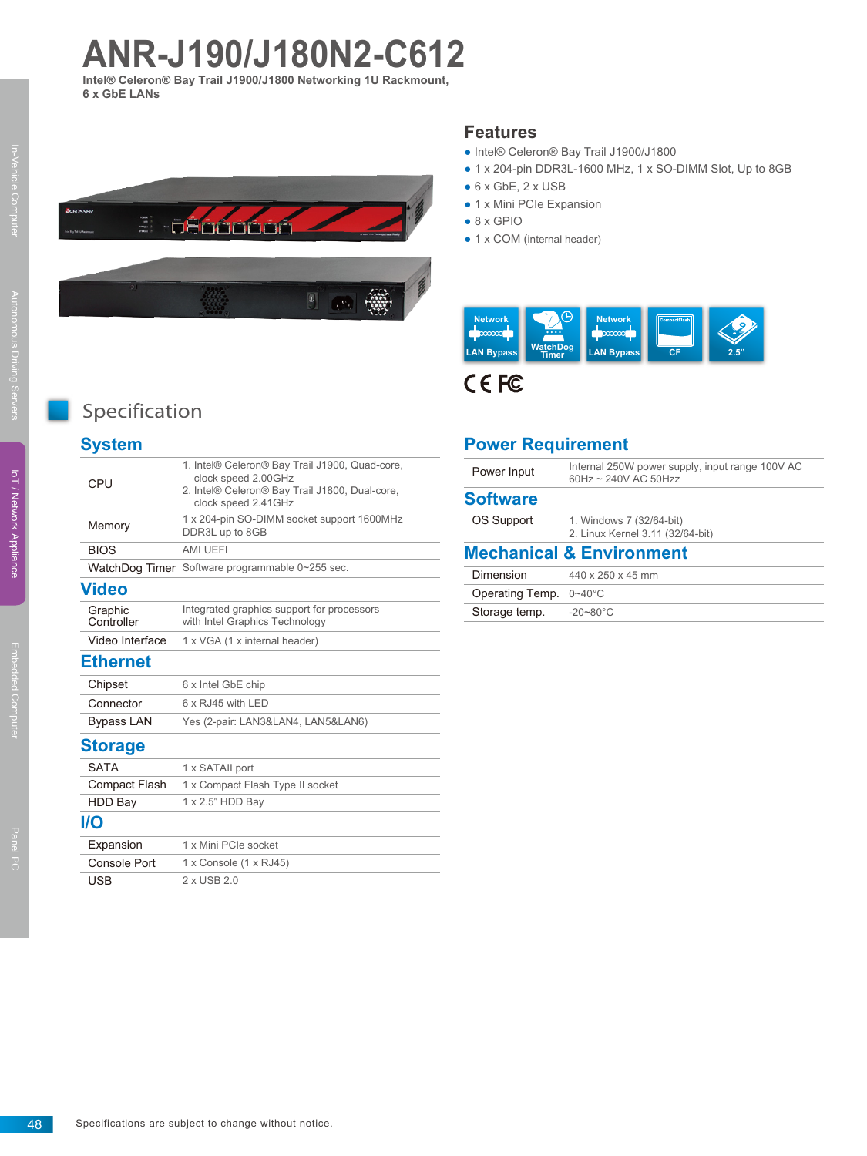# **ANR-J190/J180N2-C612**

**Intel® Celeron® Bay Trail J1900/J1800 Networking 1U Rackmount, 6 x GbE LANs**



 $\left\vert 0\right\rangle$ 



- Intel® Celeron® Bay Trail J1900/J1800
- 1 x 204-pin DDR3L-1600 MHz, 1 x SO-DIMM Slot, Up to 8GB
- $\bullet$  6 x GbE, 2 x USB
- 1 x Mini PCIe Expansion
- $\bullet$  8 x GPIO
- 1 x COM (internal header)



CEFC

# Specification

# **System**

| CPU                   | 1. Intel® Celeron® Bay Trail J1900, Quad-core,<br>clock speed 2.00GHz<br>2. Intel® Celeron® Bay Trail J1800, Dual-core,<br>clock speed 2.41GHz |
|-----------------------|------------------------------------------------------------------------------------------------------------------------------------------------|
| Memory                | 1 x 204-pin SO-DIMM socket support 1600MHz<br>DDR3L up to 8GB                                                                                  |
| <b>BIOS</b>           | AMI UEFI                                                                                                                                       |
|                       | WatchDog Timer Software programmable 0~255 sec.                                                                                                |
| <b>Video</b>          |                                                                                                                                                |
| Graphic<br>Controller | Integrated graphics support for processors<br>with Intel Graphics Technology                                                                   |
| Video Interface       | 1 x VGA (1 x internal header)                                                                                                                  |
| <b>Ethernet</b>       |                                                                                                                                                |
| Chipset               | 6 x Intel GbE chip                                                                                                                             |
| Connector             | 6 x RJ45 with LED                                                                                                                              |
| <b>Bypass LAN</b>     | Yes (2-pair: LAN3&LAN4, LAN5&LAN6)                                                                                                             |
| <b>Storage</b>        |                                                                                                                                                |
| <b>SATA</b>           | 1 x SATAII port                                                                                                                                |
| Compact Flash         | 1 x Compact Flash Type II socket                                                                                                               |
| <b>HDD Bay</b>        | 1 x 2.5" HDD Bay                                                                                                                               |
| I/O                   |                                                                                                                                                |
| Expansion             | 1 x Mini PCIe socket                                                                                                                           |
| Console Port          | $1 \times$ Console $(1 \times$ RJ45)                                                                                                           |
| <b>USB</b>            | 2 x USB 2.0                                                                                                                                    |

# **Power Requirement**

| Power Input     | Internal 250W power supply, input range 100V AC<br>60Hz ~ 240V AC 50Hzz |
|-----------------|-------------------------------------------------------------------------|
| <b>Software</b> |                                                                         |
| OS Support      | 1. Windows 7 (32/64-bit)<br>2. Linux Kernel 3.11 (32/64-bit)            |
|                 | <b>Mechanical &amp; Environment</b>                                     |
| Dimension       | 440 x 250 x 45 mm                                                       |
| Operating Temp. | $0 - 40^{\circ}$ C                                                      |
| Storage temp.   | $-20 - 80^{\circ}$ C                                                    |
|                 |                                                                         |